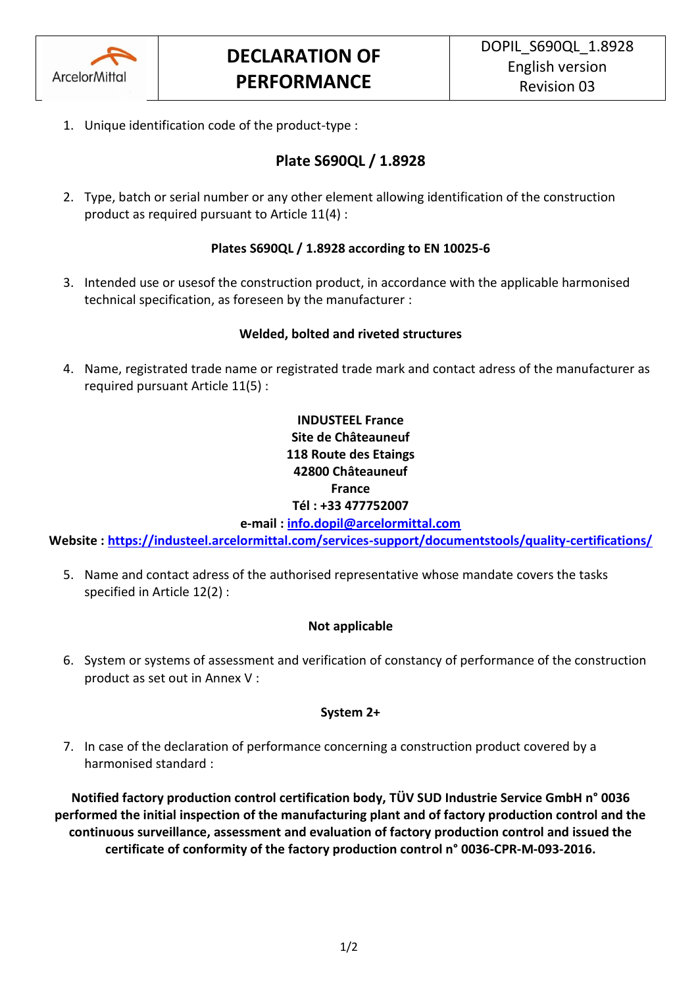

1. Unique identification code of the product-type :

# **Plate S690QL / 1.8928**

2. Type, batch or serial number or any other element allowing identification of the construction product as required pursuant to Article 11(4) :

## **Plates S690QL / 1.8928 according to EN 10025-6**

3. Intended use or usesof the construction product, in accordance with the applicable harmonised technical specification, as foreseen by the manufacturer :

## **Welded, bolted and riveted structures**

4. Name, registrated trade name or registrated trade mark and contact adress of the manufacturer as required pursuant Article 11(5) :

## **INDUSTEEL France Site de Châteauneuf 118 Route des Etaings 42800 Châteauneuf France Tél : +33 477752007**

**e-mail : [info.dopil@arcelormittal.com](mailto:info.dopil@arcelormittal.com)**

**Website :<https://industeel.arcelormittal.com/services-support/documentstools/quality-certifications/>**

5. Name and contact adress of the authorised representative whose mandate covers the tasks specified in Article 12(2) :

## **Not applicable**

6. System or systems of assessment and verification of constancy of performance of the construction product as set out in Annex V :

#### **System 2+**

7. In case of the declaration of performance concerning a construction product covered by a harmonised standard :

**Notified factory production control certification body, TÜV SUD Industrie Service GmbH n° 0036 performed the initial inspection of the manufacturing plant and of factory production control and the continuous surveillance, assessment and evaluation of factory production control and issued the certificate of conformity of the factory production control n° 0036-CPR-M-093-2016.**